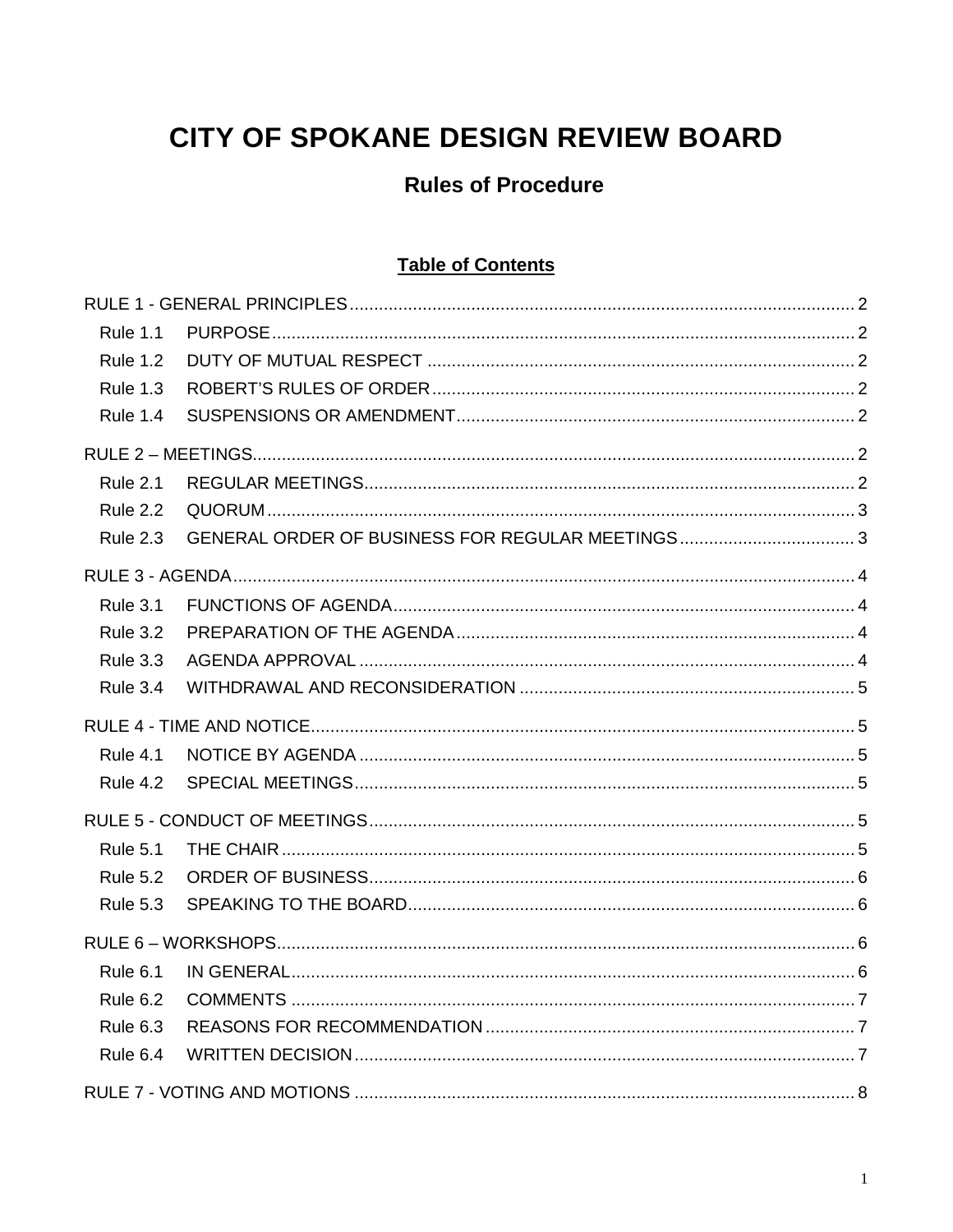# **CITY OF SPOKANE DESIGN REVIEW BOARD**

## **Rules of Procedure**

## **Table of Contents**

| <b>Rule 1.1</b> |  |
|-----------------|--|
| <b>Rule 1.2</b> |  |
| <b>Rule 1.3</b> |  |
| <b>Rule 1.4</b> |  |
|                 |  |
| <b>Rule 2.1</b> |  |
| <b>Rule 2.2</b> |  |
| <b>Rule 2.3</b> |  |
|                 |  |
| <b>Rule 3.1</b> |  |
| <b>Rule 3.2</b> |  |
| <b>Rule 3.3</b> |  |
| <b>Rule 3.4</b> |  |
|                 |  |
| <b>Rule 4.1</b> |  |
| <b>Rule 4.2</b> |  |
|                 |  |
| <b>Rule 5.1</b> |  |
| <b>Rule 5.2</b> |  |
| <b>Rule 5.3</b> |  |
|                 |  |
| <b>Rule 6.1</b> |  |
| <b>Rule 6.2</b> |  |
| <b>Rule 6.3</b> |  |
| Rule 6.4        |  |
|                 |  |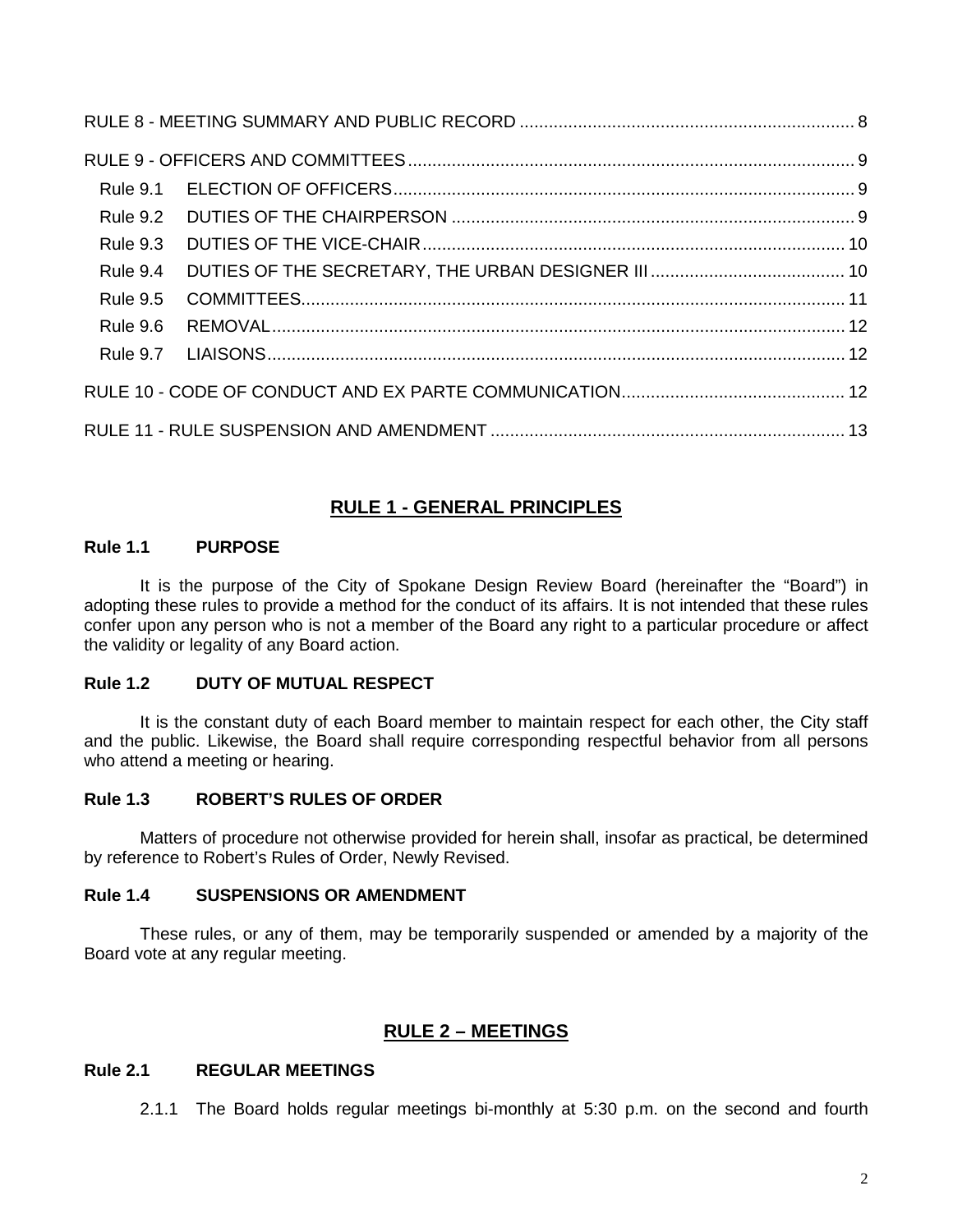| <b>Rule 9.3</b> |  |  |  |  |
|-----------------|--|--|--|--|
| Rule 9.4        |  |  |  |  |
| <b>Rule 9.5</b> |  |  |  |  |
| <b>Rule 9.6</b> |  |  |  |  |
|                 |  |  |  |  |
|                 |  |  |  |  |
|                 |  |  |  |  |

## **RULE 1 - GENERAL PRINCIPLES**

## <span id="page-1-1"></span><span id="page-1-0"></span>**Rule 1.1 PURPOSE**

It is the purpose of the City of Spokane Design Review Board (hereinafter the "Board") in adopting these rules to provide a method for the conduct of its affairs. It is not intended that these rules confer upon any person who is not a member of the Board any right to a particular procedure or affect the validity or legality of any Board action.

#### <span id="page-1-2"></span>**Rule 1.2 DUTY OF MUTUAL RESPECT**

It is the constant duty of each Board member to maintain respect for each other, the City staff and the public. Likewise, the Board shall require corresponding respectful behavior from all persons who attend a meeting or hearing.

## <span id="page-1-3"></span>**Rule 1.3 ROBERT'S RULES OF ORDER**

Matters of procedure not otherwise provided for herein shall, insofar as practical, be determined by reference to Robert's Rules of Order, Newly Revised.

#### <span id="page-1-4"></span>**Rule 1.4 SUSPENSIONS OR AMENDMENT**

These rules, or any of them, may be temporarily suspended or amended by a majority of the Board vote at any regular meeting.

## **RULE 2 – MEETINGS**

## <span id="page-1-6"></span><span id="page-1-5"></span>**Rule 2.1 REGULAR MEETINGS**

2.1.1 The Board holds regular meetings bi-monthly at 5:30 p.m. on the second and fourth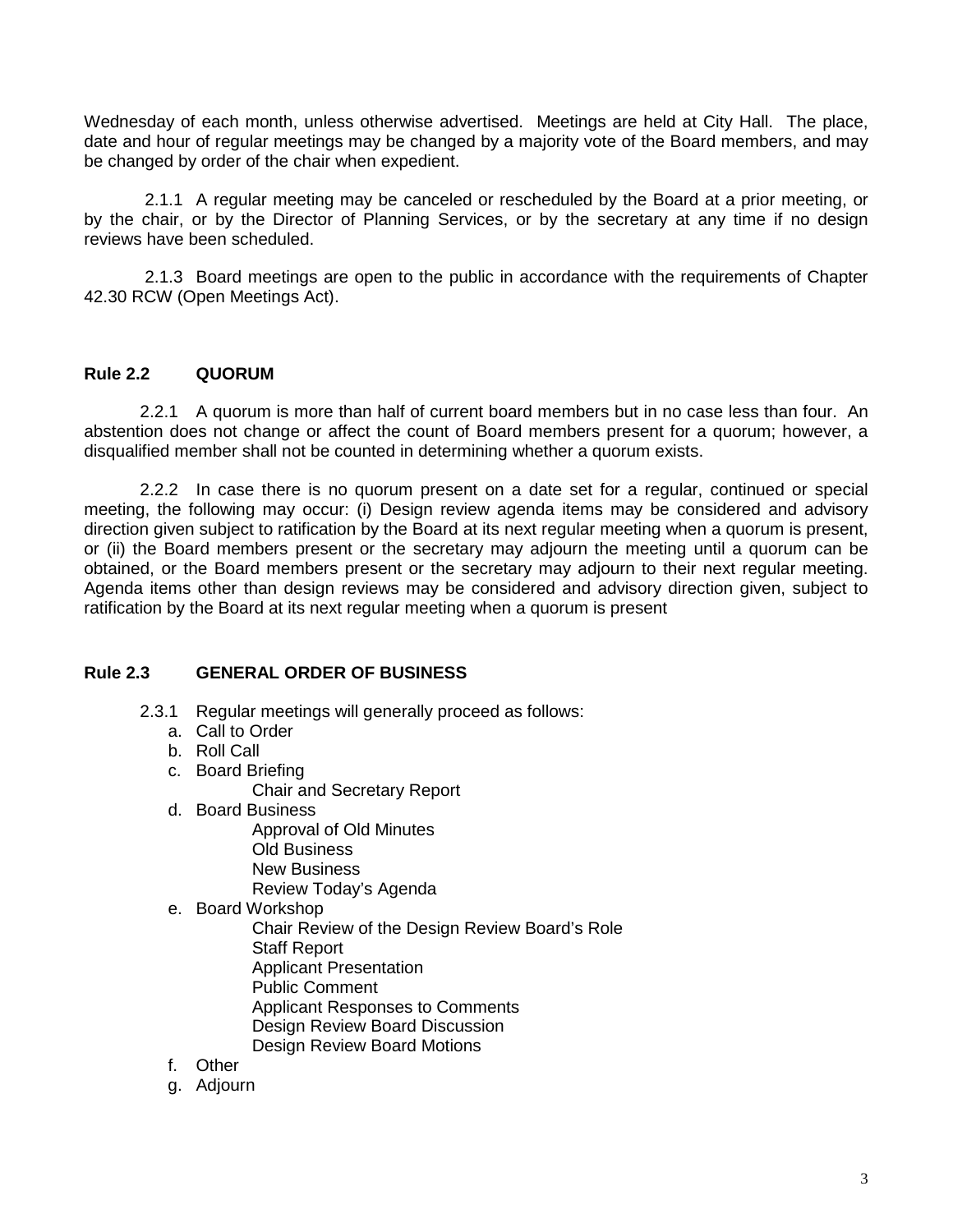Wednesday of each month, unless otherwise advertised. Meetings are held at City Hall. The place, date and hour of regular meetings may be changed by a majority vote of the Board members, and may be changed by order of the chair when expedient.

2.1.1 A regular meeting may be canceled or rescheduled by the Board at a prior meeting, or by the chair, or by the Director of Planning Services, or by the secretary at any time if no design reviews have been scheduled.

2.1.3 Board meetings are open to the public in accordance with the requirements of Chapter 42.30 RCW (Open Meetings Act).

## <span id="page-2-0"></span>**Rule 2.2 QUORUM**

2.2.1 A quorum is more than half of current board members but in no case less than four. An abstention does not change or affect the count of Board members present for a quorum; however, a disqualified member shall not be counted in determining whether a quorum exists.

2.2.2 In case there is no quorum present on a date set for a regular, continued or special meeting, the following may occur: (i) Design review agenda items may be considered and advisory direction given subject to ratification by the Board at its next regular meeting when a quorum is present, or (ii) the Board members present or the secretary may adjourn the meeting until a quorum can be obtained, or the Board members present or the secretary may adjourn to their next regular meeting. Agenda items other than design reviews may be considered and advisory direction given, subject to ratification by the Board at its next regular meeting when a quorum is present

#### <span id="page-2-1"></span>**Rule 2.3 GENERAL ORDER OF BUSINESS**

- 2.3.1 Regular meetings will generally proceed as follows:
	- a. Call to Order
	- b. Roll Call
	- c. Board Briefing
		- Chair and Secretary Report
	- d. Board Business
		- Approval of Old Minutes Old Business New Business Review Today's Agenda
	- e. Board Workshop
		- Chair Review of the Design Review Board's Role Staff Report Applicant Presentation Public Comment Applicant Responses to Comments Design Review Board Discussion Design Review Board Motions
	- f. Other
	- g. Adjourn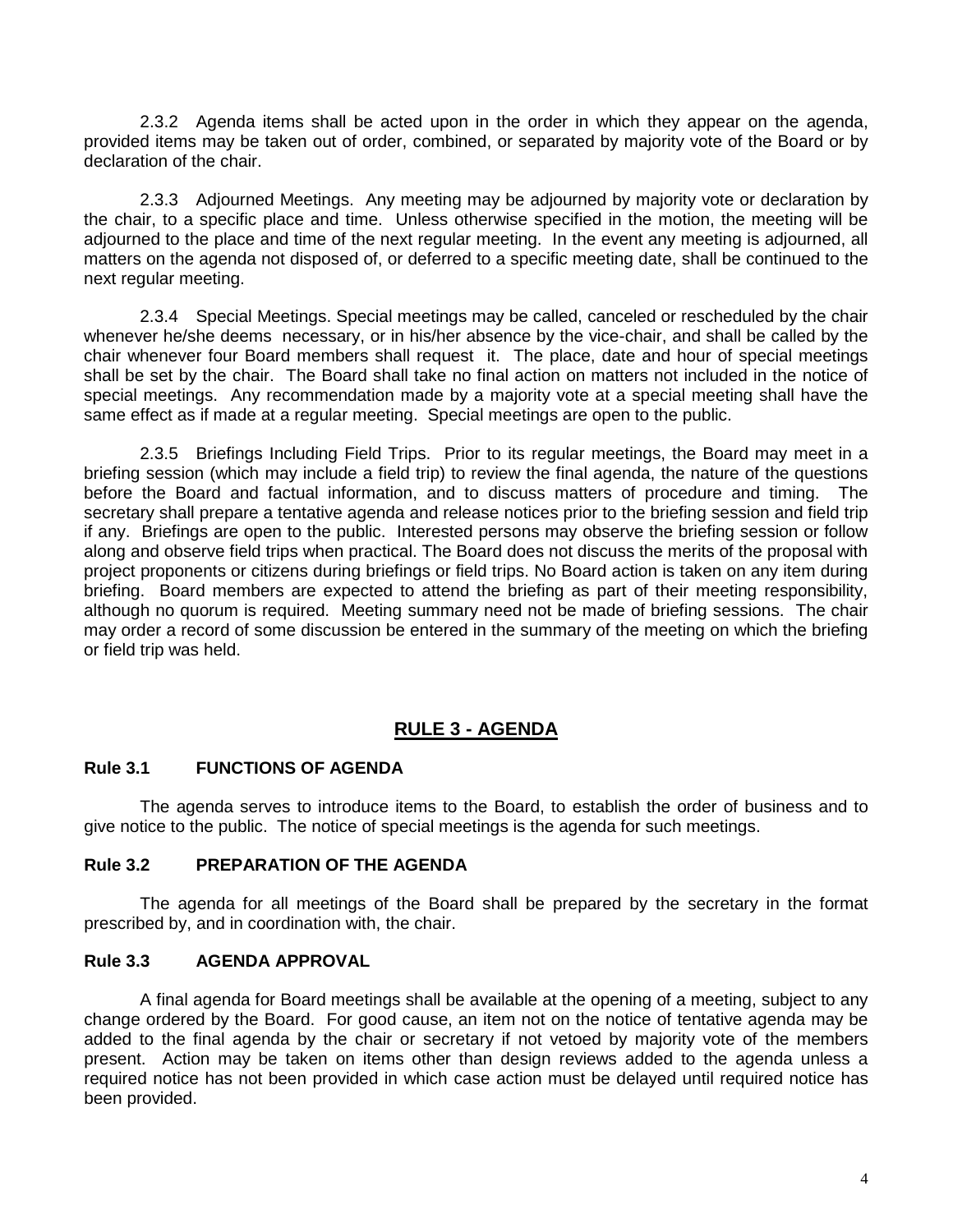2.3.2 Agenda items shall be acted upon in the order in which they appear on the agenda, provided items may be taken out of order, combined, or separated by majority vote of the Board or by declaration of the chair.

2.3.3 Adjourned Meetings. Any meeting may be adjourned by majority vote or declaration by the chair, to a specific place and time. Unless otherwise specified in the motion, the meeting will be adjourned to the place and time of the next regular meeting. In the event any meeting is adjourned, all matters on the agenda not disposed of, or deferred to a specific meeting date, shall be continued to the next regular meeting.

2.3.4 Special Meetings. Special meetings may be called, canceled or rescheduled by the chair whenever he/she deems necessary, or in his/her absence by the vice-chair, and shall be called by the chair whenever four Board members shall request it. The place, date and hour of special meetings shall be set by the chair. The Board shall take no final action on matters not included in the notice of special meetings. Any recommendation made by a majority vote at a special meeting shall have the same effect as if made at a regular meeting. Special meetings are open to the public.

2.3.5 Briefings Including Field Trips. Prior to its regular meetings, the Board may meet in a briefing session (which may include a field trip) to review the final agenda, the nature of the questions before the Board and factual information, and to discuss matters of procedure and timing. The secretary shall prepare a tentative agenda and release notices prior to the briefing session and field trip if any. Briefings are open to the public. Interested persons may observe the briefing session or follow along and observe field trips when practical. The Board does not discuss the merits of the proposal with project proponents or citizens during briefings or field trips. No Board action is taken on any item during briefing. Board members are expected to attend the briefing as part of their meeting responsibility, although no quorum is required. Meeting summary need not be made of briefing sessions. The chair may order a record of some discussion be entered in the summary of the meeting on which the briefing or field trip was held.

## **RULE 3 - AGENDA**

#### <span id="page-3-1"></span><span id="page-3-0"></span>**Rule 3.1 FUNCTIONS OF AGENDA**

The agenda serves to introduce items to the Board, to establish the order of business and to give notice to the public. The notice of special meetings is the agenda for such meetings.

#### <span id="page-3-2"></span>**Rule 3.2 PREPARATION OF THE AGENDA**

The agenda for all meetings of the Board shall be prepared by the secretary in the format prescribed by, and in coordination with, the chair.

#### <span id="page-3-3"></span>**Rule 3.3 AGENDA APPROVAL**

A final agenda for Board meetings shall be available at the opening of a meeting, subject to any change ordered by the Board. For good cause, an item not on the notice of tentative agenda may be added to the final agenda by the chair or secretary if not vetoed by majority vote of the members present. Action may be taken on items other than design reviews added to the agenda unless a required notice has not been provided in which case action must be delayed until required notice has been provided.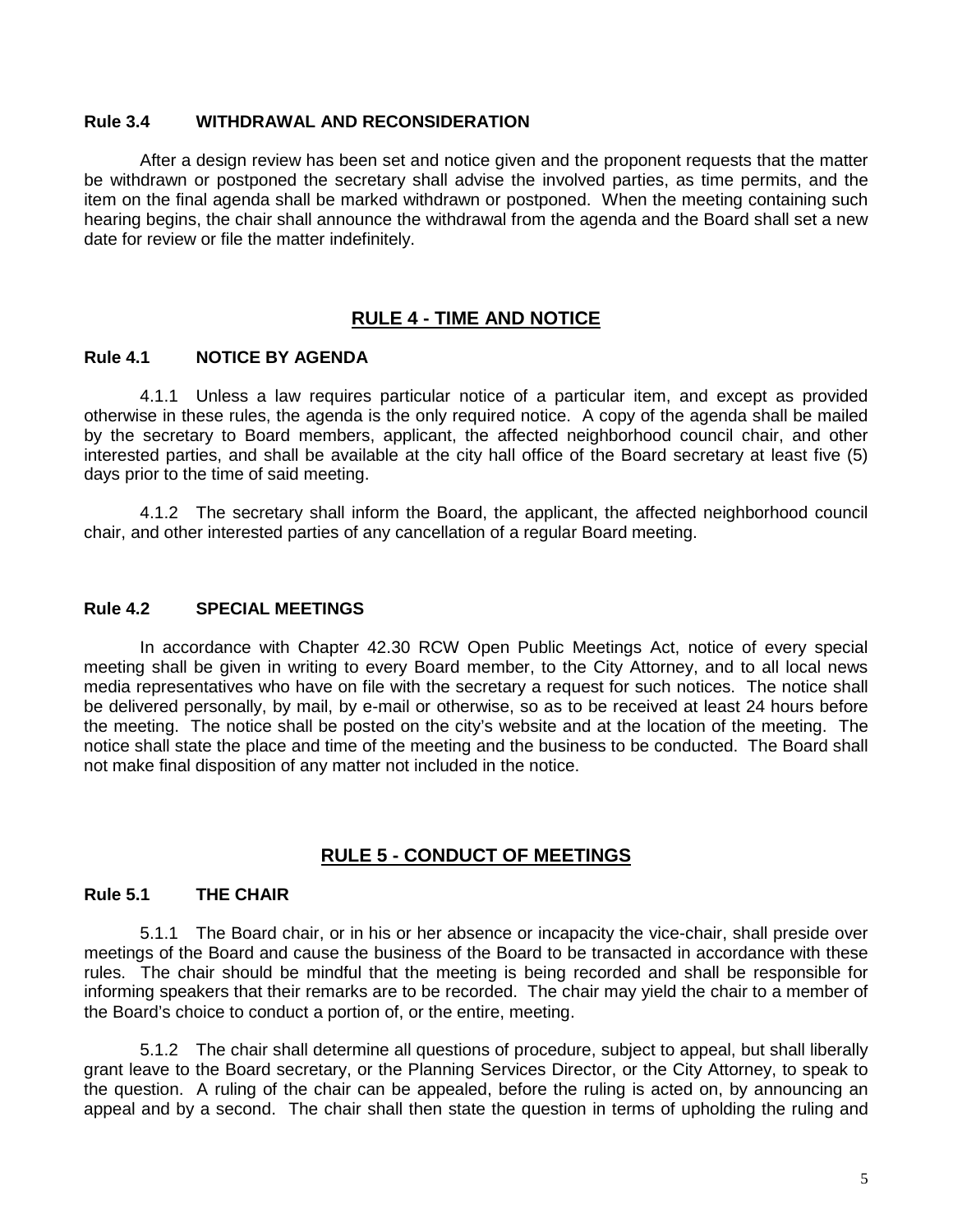#### <span id="page-4-0"></span>**Rule 3.4 WITHDRAWAL AND RECONSIDERATION**

After a design review has been set and notice given and the proponent requests that the matter be withdrawn or postponed the secretary shall advise the involved parties, as time permits, and the item on the final agenda shall be marked withdrawn or postponed. When the meeting containing such hearing begins, the chair shall announce the withdrawal from the agenda and the Board shall set a new date for review or file the matter indefinitely.

## **RULE 4 - TIME AND NOTICE**

#### <span id="page-4-2"></span><span id="page-4-1"></span>**Rule 4.1 NOTICE BY AGENDA**

4.1.1 Unless a law requires particular notice of a particular item, and except as provided otherwise in these rules, the agenda is the only required notice. A copy of the agenda shall be mailed by the secretary to Board members, applicant, the affected neighborhood council chair, and other interested parties, and shall be available at the city hall office of the Board secretary at least five (5) days prior to the time of said meeting.

4.1.2 The secretary shall inform the Board, the applicant, the affected neighborhood council chair, and other interested parties of any cancellation of a regular Board meeting.

#### <span id="page-4-3"></span>**Rule 4.2 SPECIAL MEETINGS**

In accordance with Chapter 42.30 RCW Open Public Meetings Act, notice of every special meeting shall be given in writing to every Board member, to the City Attorney, and to all local news media representatives who have on file with the secretary a request for such notices. The notice shall be delivered personally, by mail, by e-mail or otherwise, so as to be received at least 24 hours before the meeting. The notice shall be posted on the city's website and at the location of the meeting. The notice shall state the place and time of the meeting and the business to be conducted. The Board shall not make final disposition of any matter not included in the notice.

#### **RULE 5 - CONDUCT OF MEETINGS**

#### <span id="page-4-5"></span><span id="page-4-4"></span>**Rule 5.1 THE CHAIR**

5.1.1 The Board chair, or in his or her absence or incapacity the vice-chair, shall preside over meetings of the Board and cause the business of the Board to be transacted in accordance with these rules. The chair should be mindful that the meeting is being recorded and shall be responsible for informing speakers that their remarks are to be recorded. The chair may yield the chair to a member of the Board's choice to conduct a portion of, or the entire, meeting.

5.1.2 The chair shall determine all questions of procedure, subject to appeal, but shall liberally grant leave to the Board secretary, or the Planning Services Director, or the City Attorney, to speak to the question. A ruling of the chair can be appealed, before the ruling is acted on, by announcing an appeal and by a second. The chair shall then state the question in terms of upholding the ruling and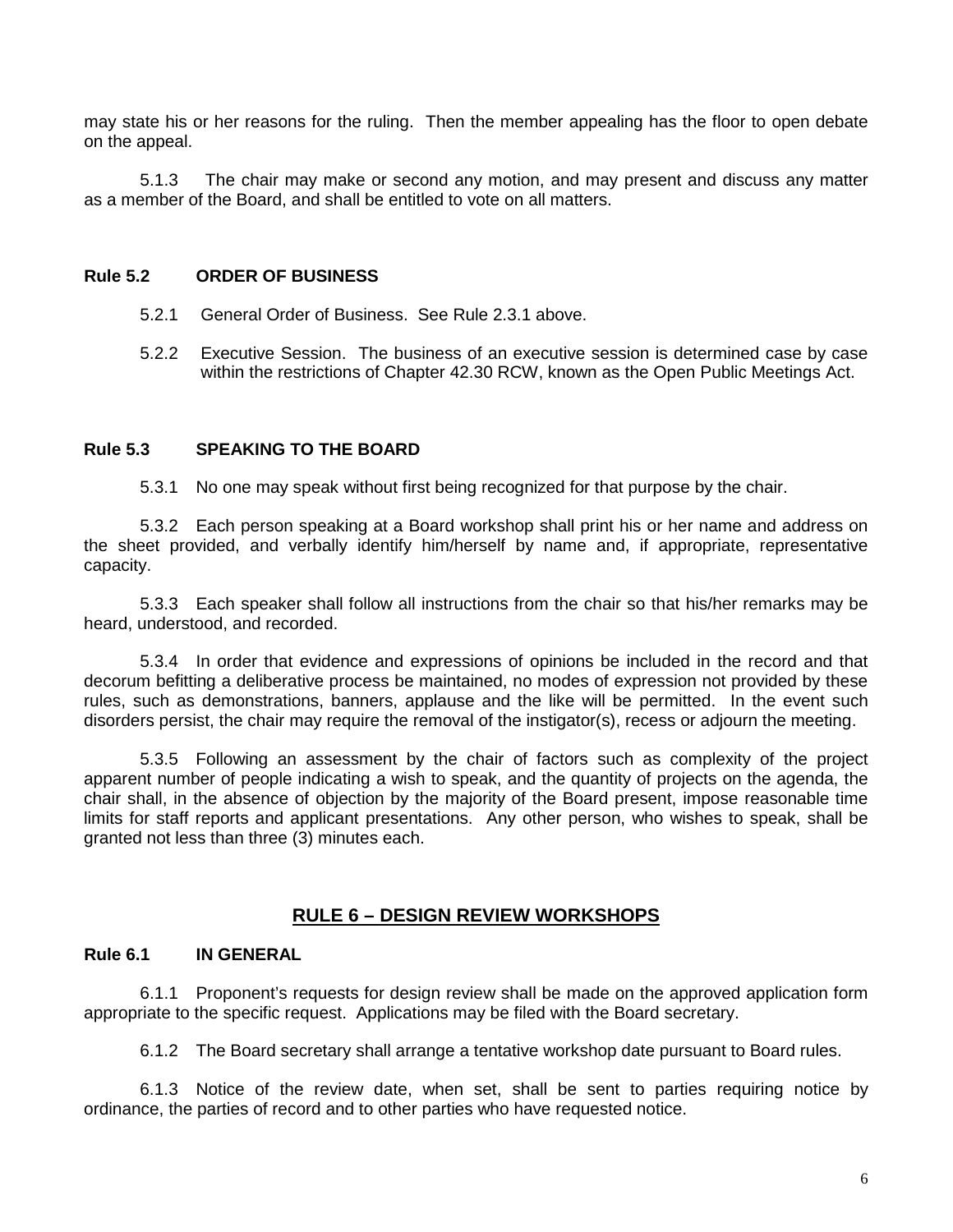may state his or her reasons for the ruling. Then the member appealing has the floor to open debate on the appeal.

5.1.3 The chair may make or second any motion, and may present and discuss any matter as a member of the Board, and shall be entitled to vote on all matters.

#### <span id="page-5-0"></span>**Rule 5.2 ORDER OF BUSINESS**

- 5.2.1 General Order of Business. See Rule 2.3.1 above.
- 5.2.2 Executive Session. The business of an executive session is determined case by case within the restrictions of Chapter 42.30 RCW, known as the Open Public Meetings Act.

#### <span id="page-5-1"></span>**Rule 5.3 SPEAKING TO THE BOARD**

5.3.1 No one may speak without first being recognized for that purpose by the chair.

5.3.2 Each person speaking at a Board workshop shall print his or her name and address on the sheet provided, and verbally identify him/herself by name and, if appropriate, representative capacity.

5.3.3 Each speaker shall follow all instructions from the chair so that his/her remarks may be heard, understood, and recorded.

5.3.4 In order that evidence and expressions of opinions be included in the record and that decorum befitting a deliberative process be maintained, no modes of expression not provided by these rules, such as demonstrations, banners, applause and the like will be permitted. In the event such disorders persist, the chair may require the removal of the instigator(s), recess or adjourn the meeting.

5.3.5 Following an assessment by the chair of factors such as complexity of the project apparent number of people indicating a wish to speak, and the quantity of projects on the agenda, the chair shall, in the absence of objection by the majority of the Board present, impose reasonable time limits for staff reports and applicant presentations. Any other person, who wishes to speak, shall be granted not less than three (3) minutes each.

#### **RULE 6 – DESIGN REVIEW WORKSHOPS**

#### <span id="page-5-3"></span><span id="page-5-2"></span>**Rule 6.1 IN GENERAL**

6.1.1 Proponent's requests for design review shall be made on the approved application form appropriate to the specific request. Applications may be filed with the Board secretary.

6.1.2 The Board secretary shall arrange a tentative workshop date pursuant to Board rules.

6.1.3 Notice of the review date, when set, shall be sent to parties requiring notice by ordinance, the parties of record and to other parties who have requested notice.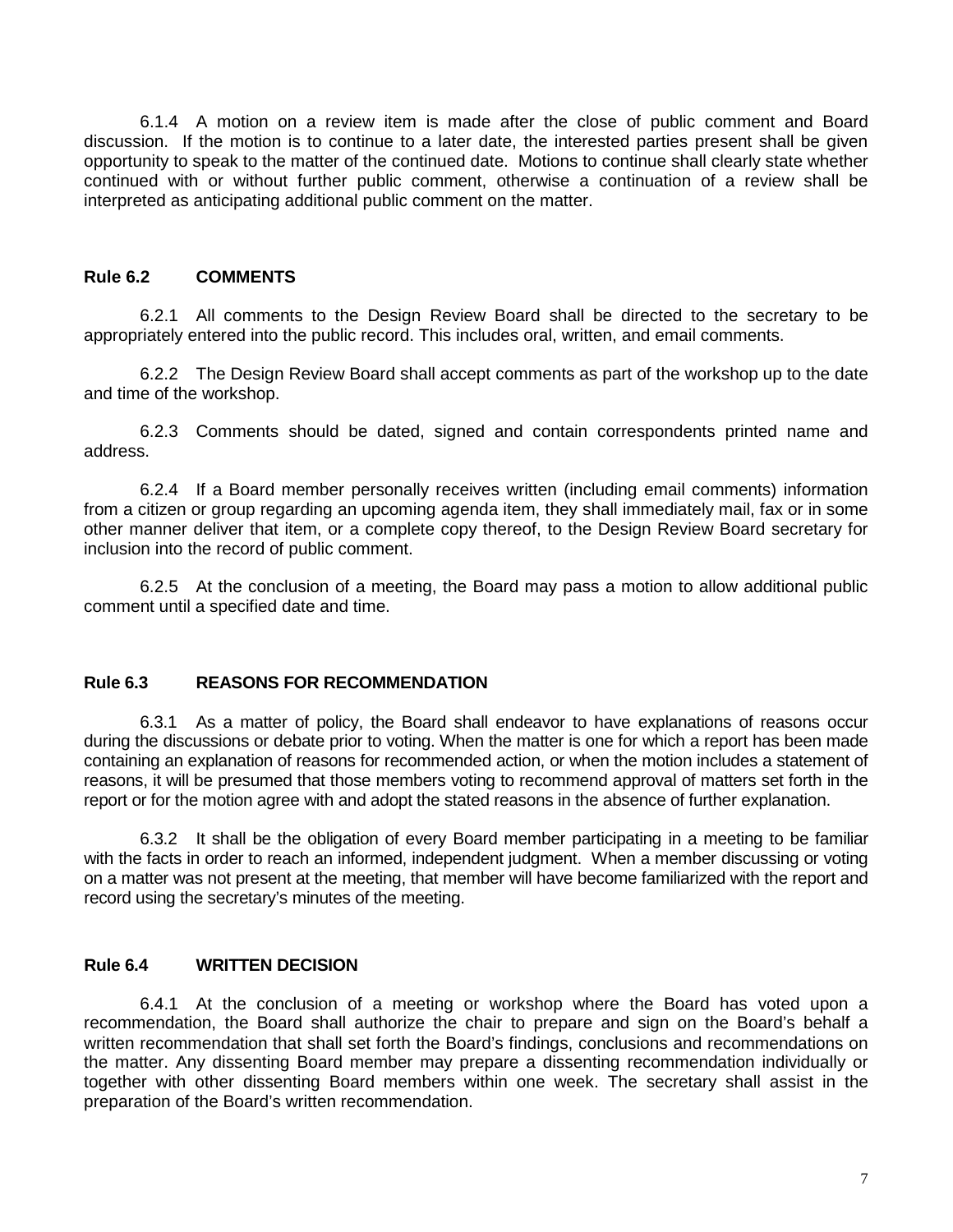6.1.4 A motion on a review item is made after the close of public comment and Board discussion. If the motion is to continue to a later date, the interested parties present shall be given opportunity to speak to the matter of the continued date. Motions to continue shall clearly state whether continued with or without further public comment, otherwise a continuation of a review shall be interpreted as anticipating additional public comment on the matter.

#### <span id="page-6-0"></span>**Rule 6.2 COMMENTS**

6.2.1 All comments to the Design Review Board shall be directed to the secretary to be appropriately entered into the public record. This includes oral, written, and email comments.

6.2.2 The Design Review Board shall accept comments as part of the workshop up to the date and time of the workshop.

6.2.3 Comments should be dated, signed and contain correspondents printed name and address.

6.2.4 If a Board member personally receives written (including email comments) information from a citizen or group regarding an upcoming agenda item, they shall immediately mail, fax or in some other manner deliver that item, or a complete copy thereof, to the Design Review Board secretary for inclusion into the record of public comment.

6.2.5 At the conclusion of a meeting, the Board may pass a motion to allow additional public comment until a specified date and time.

#### **Rule 6.3 REASONS FOR RECOMMENDATION**

6.3.1 As a matter of policy, the Board shall endeavor to have explanations of reasons occur during the discussions or debate prior to voting. When the matter is one for which a report has been made containing an explanation of reasons for recommended action, or when the motion includes a statement of reasons, it will be presumed that those members voting to recommend approval of matters set forth in the report or for the motion agree with and adopt the stated reasons in the absence of further explanation.

6.3.2 It shall be the obligation of every Board member participating in a meeting to be familiar with the facts in order to reach an informed, independent judgment. When a member discussing or voting on a matter was not present at the meeting, that member will have become familiarized with the report and record using the secretary's minutes of the meeting.

#### **Rule 6.4 WRITTEN DECISION**

6.4.1 At the conclusion of a meeting or workshop where the Board has voted upon a recommendation, the Board shall authorize the chair to prepare and sign on the Board's behalf a written recommendation that shall set forth the Board's findings, conclusions and recommendations on the matter. Any dissenting Board member may prepare a dissenting recommendation individually or together with other dissenting Board members within one week. The secretary shall assist in the preparation of the Board's written recommendation.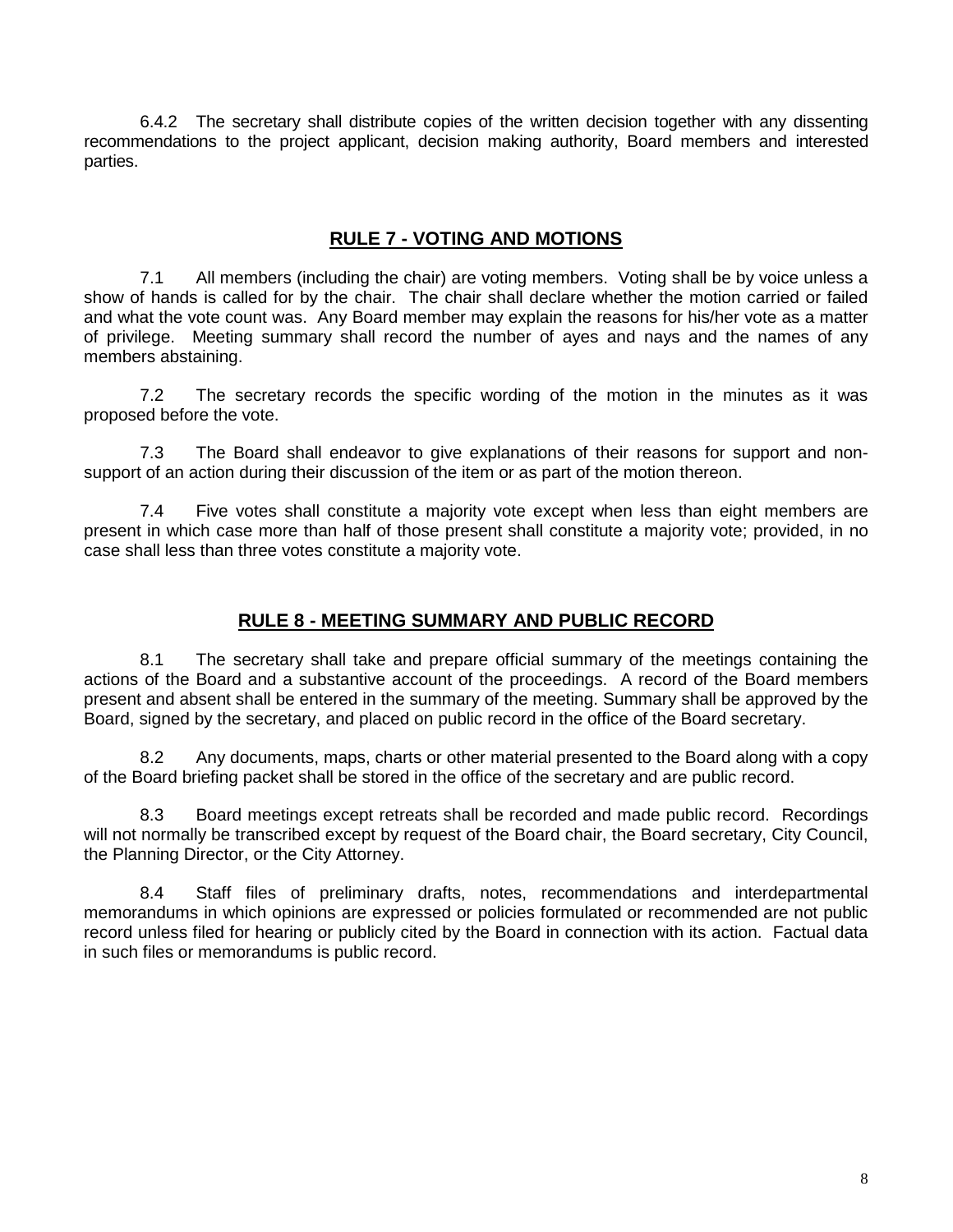6.4.2 The secretary shall distribute copies of the written decision together with any dissenting recommendations to the project applicant, decision making authority, Board members and interested parties.

## **RULE 7 - VOTING AND MOTIONS**

<span id="page-7-0"></span>7.1 All members (including the chair) are voting members. Voting shall be by voice unless a show of hands is called for by the chair. The chair shall declare whether the motion carried or failed and what the vote count was. Any Board member may explain the reasons for his/her vote as a matter of privilege. Meeting summary shall record the number of ayes and nays and the names of any members abstaining.

7.2 The secretary records the specific wording of the motion in the minutes as it was proposed before the vote.

7.3 The Board shall endeavor to give explanations of their reasons for support and nonsupport of an action during their discussion of the item or as part of the motion thereon.

7.4 Five votes shall constitute a majority vote except when less than eight members are present in which case more than half of those present shall constitute a majority vote; provided, in no case shall less than three votes constitute a majority vote.

## **RULE 8 - MEETING SUMMARY AND PUBLIC RECORD**

<span id="page-7-1"></span>8.1 The secretary shall take and prepare official summary of the meetings containing the actions of the Board and a substantive account of the proceedings. A record of the Board members present and absent shall be entered in the summary of the meeting. Summary shall be approved by the Board, signed by the secretary, and placed on public record in the office of the Board secretary.

8.2 Any documents, maps, charts or other material presented to the Board along with a copy of the Board briefing packet shall be stored in the office of the secretary and are public record.

8.3 Board meetings except retreats shall be recorded and made public record. Recordings will not normally be transcribed except by request of the Board chair, the Board secretary, City Council, the Planning Director, or the City Attorney.

8.4 Staff files of preliminary drafts, notes, recommendations and interdepartmental memorandums in which opinions are expressed or policies formulated or recommended are not public record unless filed for hearing or publicly cited by the Board in connection with its action. Factual data in such files or memorandums is public record.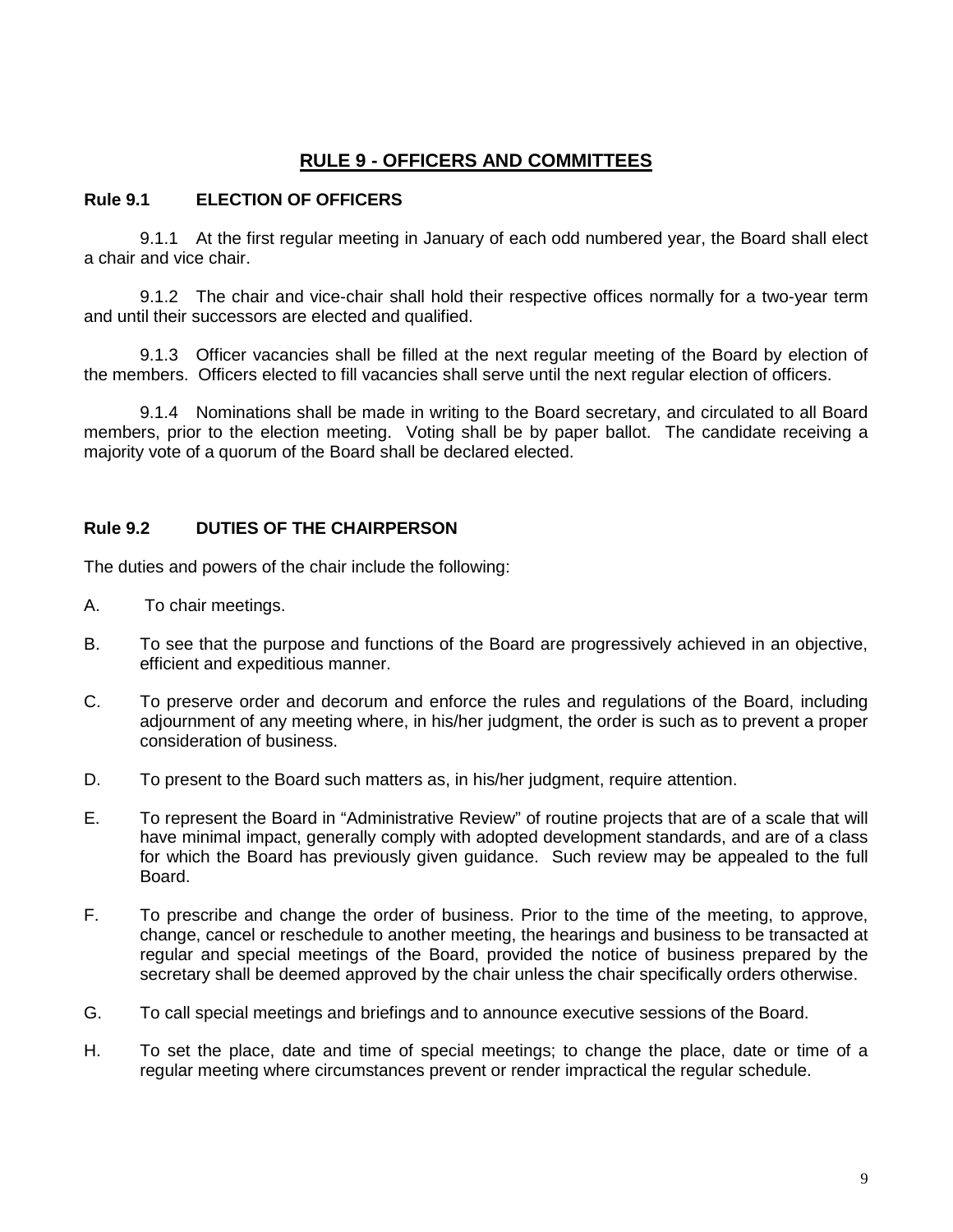## **RULE 9 - OFFICERS AND COMMITTEES**

#### <span id="page-8-1"></span><span id="page-8-0"></span>**Rule 9.1 ELECTION OF OFFICERS**

9.1.1 At the first regular meeting in January of each odd numbered year, the Board shall elect a chair and vice chair.

9.1.2 The chair and vice-chair shall hold their respective offices normally for a two-year term and until their successors are elected and qualified.

9.1.3 Officer vacancies shall be filled at the next regular meeting of the Board by election of the members. Officers elected to fill vacancies shall serve until the next regular election of officers.

9.1.4 Nominations shall be made in writing to the Board secretary, and circulated to all Board members, prior to the election meeting. Voting shall be by paper ballot. The candidate receiving a majority vote of a quorum of the Board shall be declared elected.

#### <span id="page-8-2"></span>**Rule 9.2 DUTIES OF THE CHAIRPERSON**

The duties and powers of the chair include the following:

- A. To chair meetings.
- B. To see that the purpose and functions of the Board are progressively achieved in an objective, efficient and expeditious manner.
- C. To preserve order and decorum and enforce the rules and regulations of the Board, including adjournment of any meeting where, in his/her judgment, the order is such as to prevent a proper consideration of business.
- D. To present to the Board such matters as, in his/her judgment, require attention.
- E. To represent the Board in "Administrative Review" of routine projects that are of a scale that will have minimal impact, generally comply with adopted development standards, and are of a class for which the Board has previously given guidance. Such review may be appealed to the full Board.
- F. To prescribe and change the order of business. Prior to the time of the meeting, to approve, change, cancel or reschedule to another meeting, the hearings and business to be transacted at regular and special meetings of the Board, provided the notice of business prepared by the secretary shall be deemed approved by the chair unless the chair specifically orders otherwise.
- G. To call special meetings and briefings and to announce executive sessions of the Board.
- H. To set the place, date and time of special meetings; to change the place, date or time of a regular meeting where circumstances prevent or render impractical the regular schedule.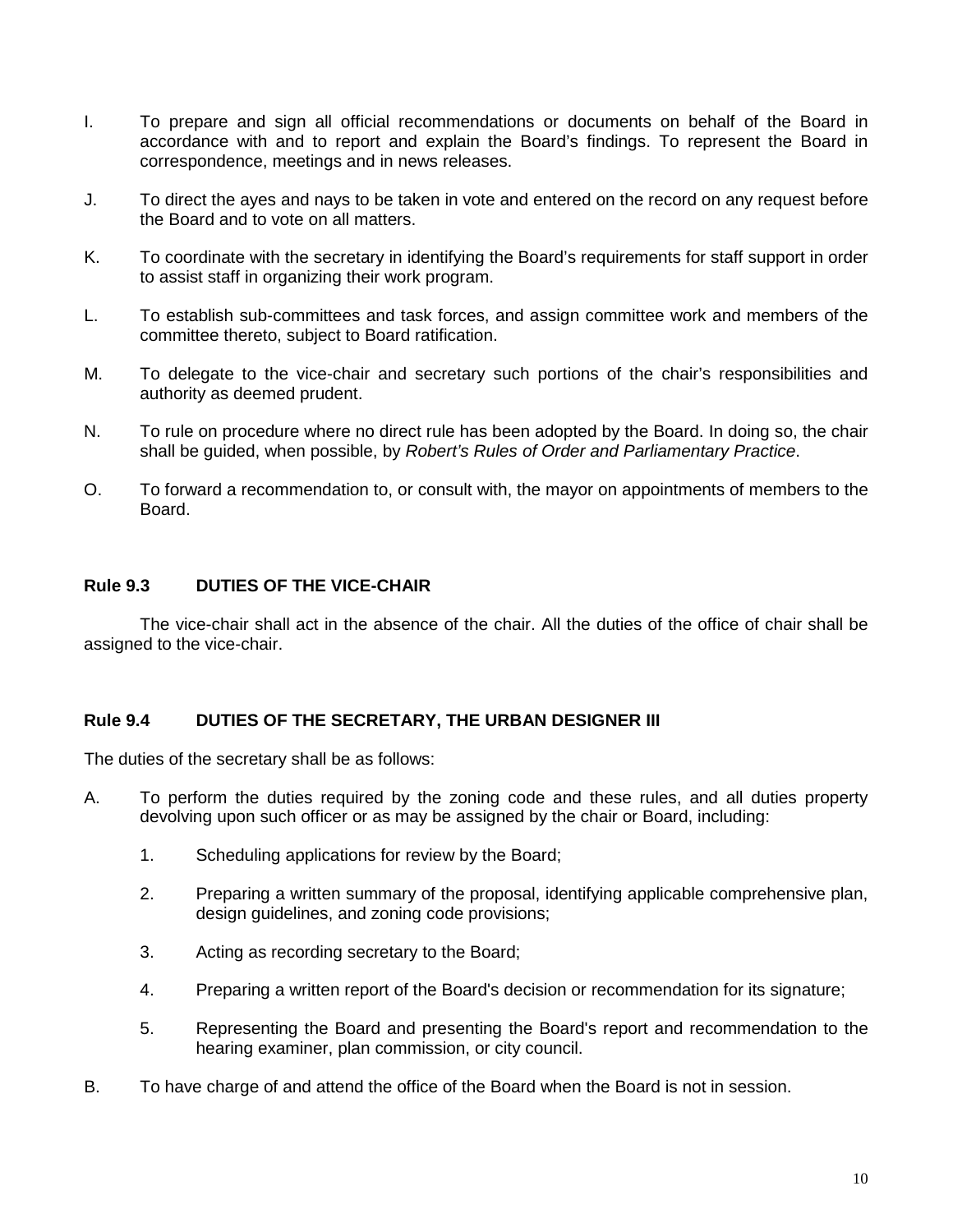- I. To prepare and sign all official recommendations or documents on behalf of the Board in accordance with and to report and explain the Board's findings. To represent the Board in correspondence, meetings and in news releases.
- J. To direct the ayes and nays to be taken in vote and entered on the record on any request before the Board and to vote on all matters.
- K. To coordinate with the secretary in identifying the Board's requirements for staff support in order to assist staff in organizing their work program.
- L. To establish sub-committees and task forces, and assign committee work and members of the committee thereto, subject to Board ratification.
- M. To delegate to the vice-chair and secretary such portions of the chair's responsibilities and authority as deemed prudent.
- N. To rule on procedure where no direct rule has been adopted by the Board. In doing so, the chair shall be guided, when possible, by *Robert's Rules of Order and Parliamentary Practice*.
- O. To forward a recommendation to, or consult with, the mayor on appointments of members to the Board.

## <span id="page-9-0"></span>**Rule 9.3 DUTIES OF THE VICE-CHAIR**

The vice-chair shall act in the absence of the chair. All the duties of the office of chair shall be assigned to the vice-chair.

#### <span id="page-9-1"></span>**Rule 9.4 DUTIES OF THE SECRETARY, THE URBAN DESIGNER III**

The duties of the secretary shall be as follows:

- A. To perform the duties required by the zoning code and these rules, and all duties property devolving upon such officer or as may be assigned by the chair or Board, including:
	- 1. Scheduling applications for review by the Board;
	- 2. Preparing a written summary of the proposal, identifying applicable comprehensive plan, design guidelines, and zoning code provisions;
	- 3. Acting as recording secretary to the Board;
	- 4. Preparing a written report of the Board's decision or recommendation for its signature;
	- 5. Representing the Board and presenting the Board's report and recommendation to the hearing examiner, plan commission, or city council.
- B. To have charge of and attend the office of the Board when the Board is not in session.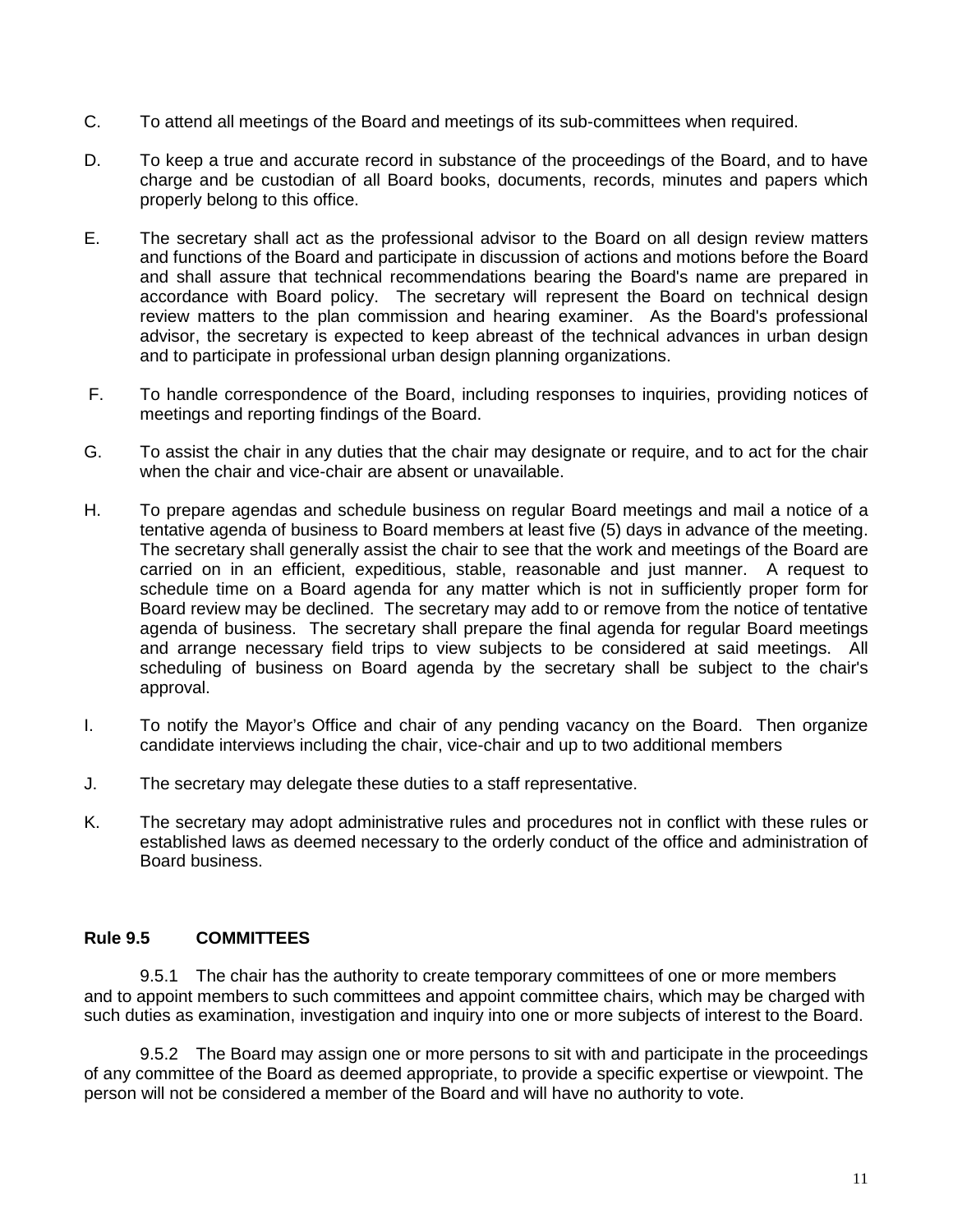- C. To attend all meetings of the Board and meetings of its sub-committees when required.
- D. To keep a true and accurate record in substance of the proceedings of the Board, and to have charge and be custodian of all Board books, documents, records, minutes and papers which properly belong to this office.
- E. The secretary shall act as the professional advisor to the Board on all design review matters and functions of the Board and participate in discussion of actions and motions before the Board and shall assure that technical recommendations bearing the Board's name are prepared in accordance with Board policy. The secretary will represent the Board on technical design review matters to the plan commission and hearing examiner. As the Board's professional advisor, the secretary is expected to keep abreast of the technical advances in urban design and to participate in professional urban design planning organizations.
- F. To handle correspondence of the Board, including responses to inquiries, providing notices of meetings and reporting findings of the Board.
- G. To assist the chair in any duties that the chair may designate or require, and to act for the chair when the chair and vice-chair are absent or unavailable.
- H. To prepare agendas and schedule business on regular Board meetings and mail a notice of a tentative agenda of business to Board members at least five (5) days in advance of the meeting. The secretary shall generally assist the chair to see that the work and meetings of the Board are carried on in an efficient, expeditious, stable, reasonable and just manner. A request to schedule time on a Board agenda for any matter which is not in sufficiently proper form for Board review may be declined. The secretary may add to or remove from the notice of tentative agenda of business. The secretary shall prepare the final agenda for regular Board meetings and arrange necessary field trips to view subjects to be considered at said meetings. All scheduling of business on Board agenda by the secretary shall be subject to the chair's approval.
- I. To notify the Mayor's Office and chair of any pending vacancy on the Board. Then organize candidate interviews including the chair, vice-chair and up to two additional members
- J. The secretary may delegate these duties to a staff representative.
- K. The secretary may adopt administrative rules and procedures not in conflict with these rules or established laws as deemed necessary to the orderly conduct of the office and administration of Board business.

#### <span id="page-10-0"></span>**Rule 9.5 COMMITTEES**

9.5.1 The chair has the authority to create temporary committees of one or more members and to appoint members to such committees and appoint committee chairs, which may be charged with such duties as examination, investigation and inquiry into one or more subjects of interest to the Board.

9.5.2 The Board may assign one or more persons to sit with and participate in the proceedings of any committee of the Board as deemed appropriate, to provide a specific expertise or viewpoint. The person will not be considered a member of the Board and will have no authority to vote.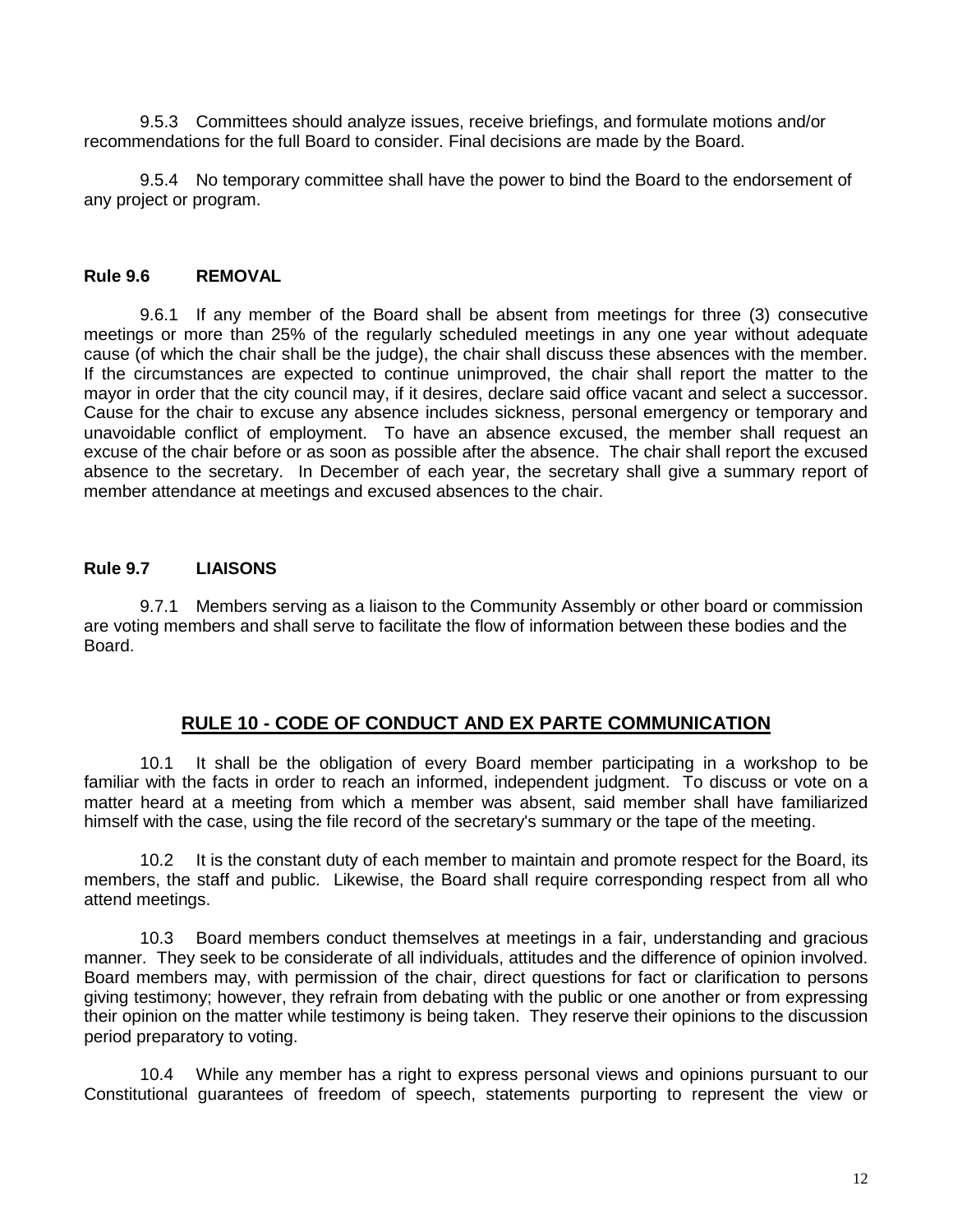9.5.3 Committees should analyze issues, receive briefings, and formulate motions and/or recommendations for the full Board to consider. Final decisions are made by the Board.

9.5.4 No temporary committee shall have the power to bind the Board to the endorsement of any project or program.

#### <span id="page-11-0"></span>**Rule 9.6 REMOVAL**

9.6.1 If any member of the Board shall be absent from meetings for three (3) consecutive meetings or more than 25% of the regularly scheduled meetings in any one year without adequate cause (of which the chair shall be the judge), the chair shall discuss these absences with the member. If the circumstances are expected to continue unimproved, the chair shall report the matter to the mayor in order that the city council may, if it desires, declare said office vacant and select a successor. Cause for the chair to excuse any absence includes sickness, personal emergency or temporary and unavoidable conflict of employment. To have an absence excused, the member shall request an excuse of the chair before or as soon as possible after the absence. The chair shall report the excused absence to the secretary. In December of each year, the secretary shall give a summary report of member attendance at meetings and excused absences to the chair.

#### <span id="page-11-1"></span>**Rule 9.7 LIAISONS**

9.7.1 Members serving as a liaison to the Community Assembly or other board or commission are voting members and shall serve to facilitate the flow of information between these bodies and the **Board** 

## **RULE 10 - CODE OF CONDUCT AND EX PARTE COMMUNICATION**

<span id="page-11-2"></span>10.1 It shall be the obligation of every Board member participating in a workshop to be familiar with the facts in order to reach an informed, independent judgment. To discuss or vote on a matter heard at a meeting from which a member was absent, said member shall have familiarized himself with the case, using the file record of the secretary's summary or the tape of the meeting.

10.2 It is the constant duty of each member to maintain and promote respect for the Board, its members, the staff and public. Likewise, the Board shall require corresponding respect from all who attend meetings.

10.3 Board members conduct themselves at meetings in a fair, understanding and gracious manner. They seek to be considerate of all individuals, attitudes and the difference of opinion involved. Board members may, with permission of the chair, direct questions for fact or clarification to persons giving testimony; however, they refrain from debating with the public or one another or from expressing their opinion on the matter while testimony is being taken. They reserve their opinions to the discussion period preparatory to voting.

10.4 While any member has a right to express personal views and opinions pursuant to our Constitutional guarantees of freedom of speech, statements purporting to represent the view or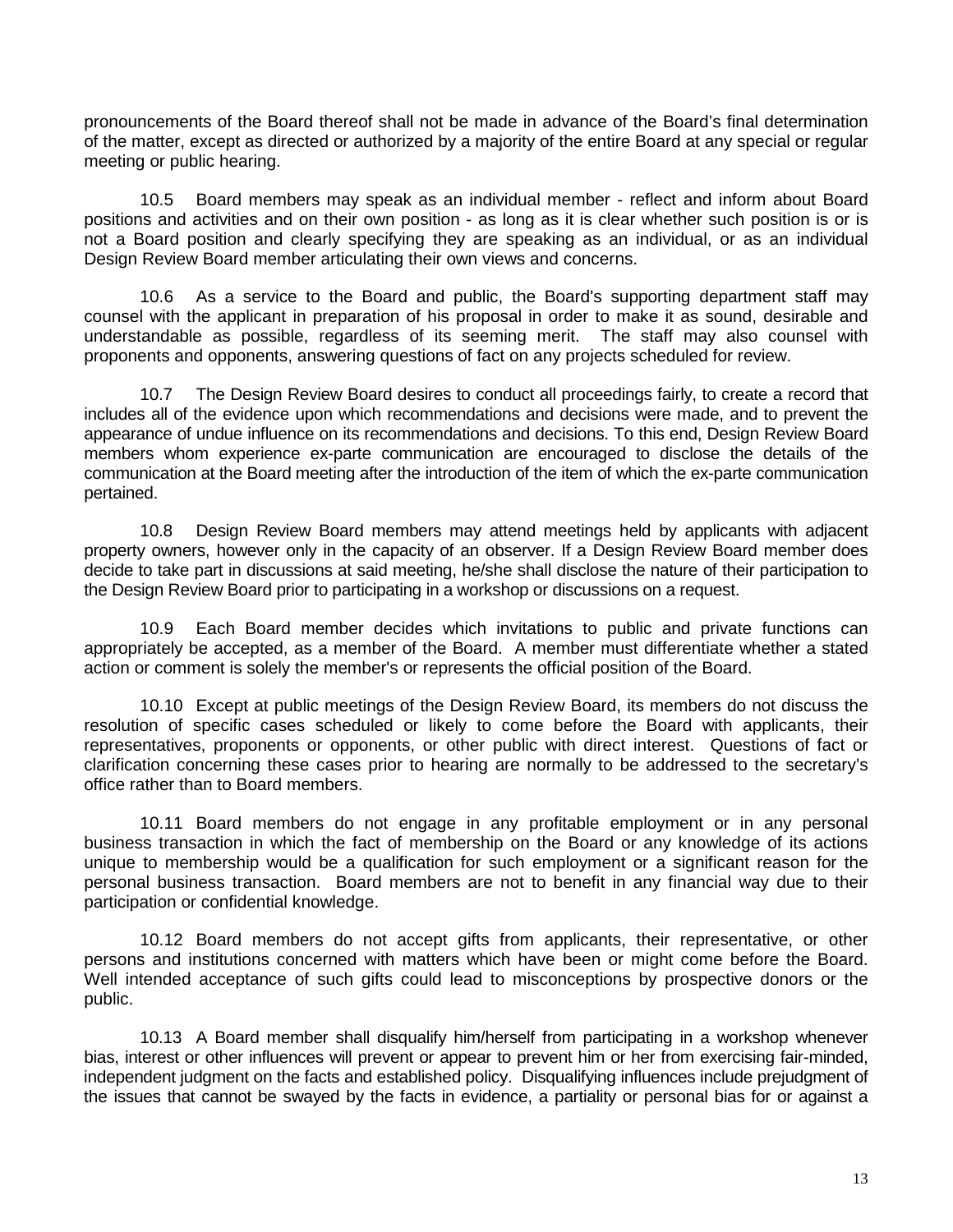pronouncements of the Board thereof shall not be made in advance of the Board's final determination of the matter, except as directed or authorized by a majority of the entire Board at any special or regular meeting or public hearing.

10.5 Board members may speak as an individual member - reflect and inform about Board positions and activities and on their own position - as long as it is clear whether such position is or is not a Board position and clearly specifying they are speaking as an individual, or as an individual Design Review Board member articulating their own views and concerns.

10.6 As a service to the Board and public, the Board's supporting department staff may counsel with the applicant in preparation of his proposal in order to make it as sound, desirable and understandable as possible, regardless of its seeming merit. The staff may also counsel with proponents and opponents, answering questions of fact on any projects scheduled for review.

<span id="page-12-0"></span>10.7 The Design Review Board desires to conduct all proceedings fairly, to create a record that includes all of the evidence upon which recommendations and decisions were made, and to prevent the appearance of undue influence on its recommendations and decisions. To this end, Design Review Board members whom experience ex-parte communication are encouraged to disclose the details of the communication at the Board meeting after the introduction of the item of which the ex-parte communication pertained.

10.8 Design Review Board members may attend meetings held by applicants with adjacent property owners, however only in the capacity of an observer. If a Design Review Board member does decide to take part in discussions at said meeting, he/she shall disclose the nature of their participation to the Design Review Board prior to participating in a workshop or discussions on a request.

10.9 Each Board member decides which invitations to public and private functions can appropriately be accepted, as a member of the Board. A member must differentiate whether a stated action or comment is solely the member's or represents the official position of the Board.

10.10 Except at public meetings of the Design Review Board, its members do not discuss the resolution of specific cases scheduled or likely to come before the Board with applicants, their representatives, proponents or opponents, or other public with direct interest. Questions of fact or clarification concerning these cases prior to hearing are normally to be addressed to the secretary's office rather than to Board members.

10.11 Board members do not engage in any profitable employment or in any personal business transaction in which the fact of membership on the Board or any knowledge of its actions unique to membership would be a qualification for such employment or a significant reason for the personal business transaction. Board members are not to benefit in any financial way due to their participation or confidential knowledge.

10.12 Board members do not accept gifts from applicants, their representative, or other persons and institutions concerned with matters which have been or might come before the Board. Well intended acceptance of such gifts could lead to misconceptions by prospective donors or the public.

10.13 A Board member shall disqualify him/herself from participating in a workshop whenever bias, interest or other influences will prevent or appear to prevent him or her from exercising fair-minded, independent judgment on the facts and established policy. Disqualifying influences include prejudgment of the issues that cannot be swayed by the facts in evidence, a partiality or personal bias for or against a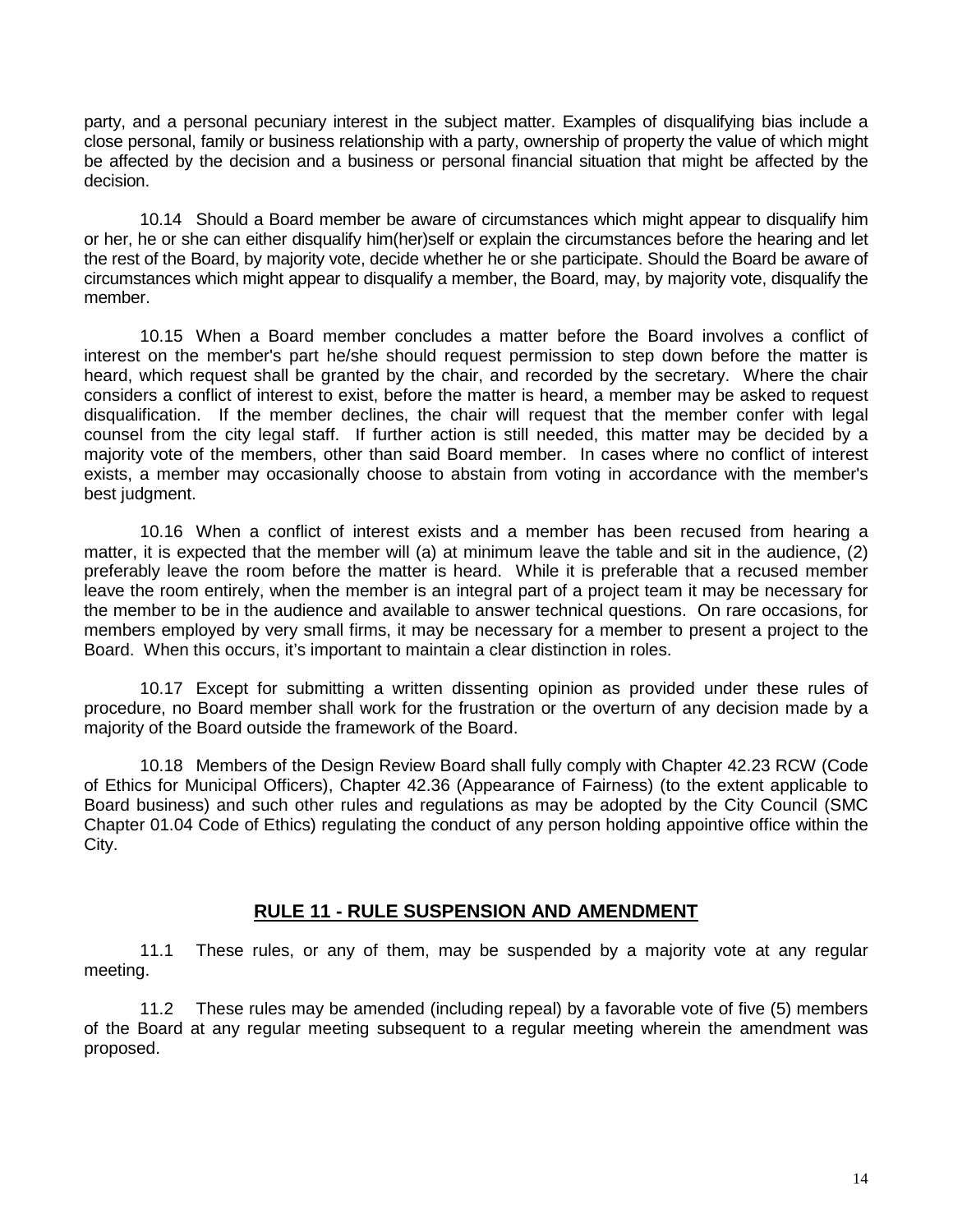party, and a personal pecuniary interest in the subject matter. Examples of disqualifying bias include a close personal, family or business relationship with a party, ownership of property the value of which might be affected by the decision and a business or personal financial situation that might be affected by the decision.

10.14 Should a Board member be aware of circumstances which might appear to disqualify him or her, he or she can either disqualify him(her)self or explain the circumstances before the hearing and let the rest of the Board, by majority vote, decide whether he or she participate. Should the Board be aware of circumstances which might appear to disqualify a member, the Board, may, by majority vote, disqualify the member.

10.15 When a Board member concludes a matter before the Board involves a conflict of interest on the member's part he/she should request permission to step down before the matter is heard, which request shall be granted by the chair, and recorded by the secretary. Where the chair considers a conflict of interest to exist, before the matter is heard, a member may be asked to request disqualification. If the member declines, the chair will request that the member confer with legal counsel from the city legal staff. If further action is still needed, this matter may be decided by a majority vote of the members, other than said Board member. In cases where no conflict of interest exists, a member may occasionally choose to abstain from voting in accordance with the member's best judgment.

10.16 When a conflict of interest exists and a member has been recused from hearing a matter, it is expected that the member will (a) at minimum leave the table and sit in the audience, (2) preferably leave the room before the matter is heard. While it is preferable that a recused member leave the room entirely, when the member is an integral part of a project team it may be necessary for the member to be in the audience and available to answer technical questions. On rare occasions, for members employed by very small firms, it may be necessary for a member to present a project to the Board. When this occurs, it's important to maintain a clear distinction in roles.

10.17 Except for submitting a written dissenting opinion as provided under these rules of procedure, no Board member shall work for the frustration or the overturn of any decision made by a majority of the Board outside the framework of the Board.

10.18 Members of the Design Review Board shall fully comply with Chapter 42.23 RCW (Code of Ethics for Municipal Officers), Chapter 42.36 (Appearance of Fairness) (to the extent applicable to Board business) and such other rules and regulations as may be adopted by the City Council (SMC Chapter 01.04 Code of Ethics) regulating the conduct of any person holding appointive office within the City.

#### **RULE 11 - RULE SUSPENSION AND AMENDMENT**

11.1 These rules, or any of them, may be suspended by a majority vote at any regular meeting.

11.2 These rules may be amended (including repeal) by a favorable vote of five (5) members of the Board at any regular meeting subsequent to a regular meeting wherein the amendment was proposed.